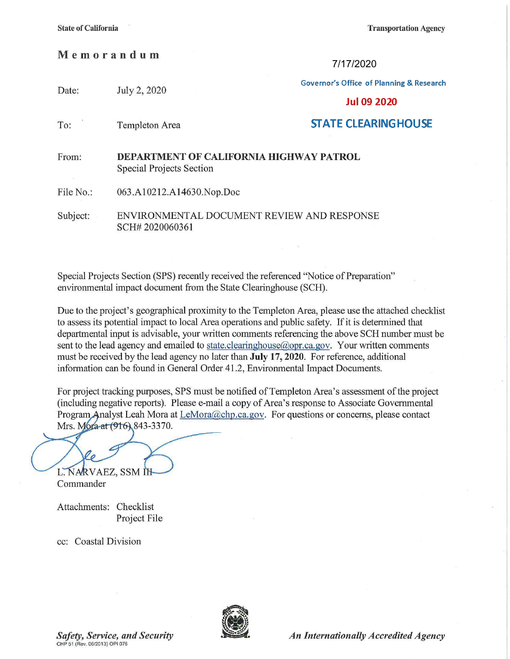**Transportation Agency** 

## **Memorandum**

7/17/2020

**Governor's Office of Planning & Research** 

| Date:     | July 2, 2020                                                        | <b>Jul 09 2020</b>         |
|-----------|---------------------------------------------------------------------|----------------------------|
| To:       | Templeton Area                                                      | <b>STATE CLEARINGHOUSE</b> |
| From:     | DEPARTMENT OF CALIFORNIA HIGHWAY PATROL<br>Special Projects Section |                            |
| File No.: | 063.A10212.A14630.Nop.Doc                                           |                            |
| Subject:  | ENVIRONMENTAL DOCUMENT REVIEW AND RESPONSE<br>SCH#2020060361        |                            |

Special Projects Section (SPS) recently received the referenced ''Notice of Preparation" enviromnental impact document from the State Clearinghouse (SCH).

Due to the project's geographical proximity to the Templeton Area, please use the attached checklist to assess its potential impact to local Area operations and public safety. If it is determined that departmental input is advisable, your written comments referencing the above SCH number must be sent to the lead agency and emailed to state.clearinghouse@opr.ca.gov. Your written comments must be received by the lead agency no later than **July 17, 2020.** For reference, additional information can be found in General Order 41.2, Environmental Impact Documents.

For project tracking purposes, SPS must be notified of Templeton Area's assessment of the project (including negative reports). Please e-mail a copy of Area's response to Associate Govermnental Program Analyst Leah Mora at LeMora@chp.ca.gov. For questions or concerns, please contact Mrs. Mora at (916) 843-3370.

L. NARVAEZ, SSM IH

Commander

Attachments: Checklist Project File

cc: Coastal Division

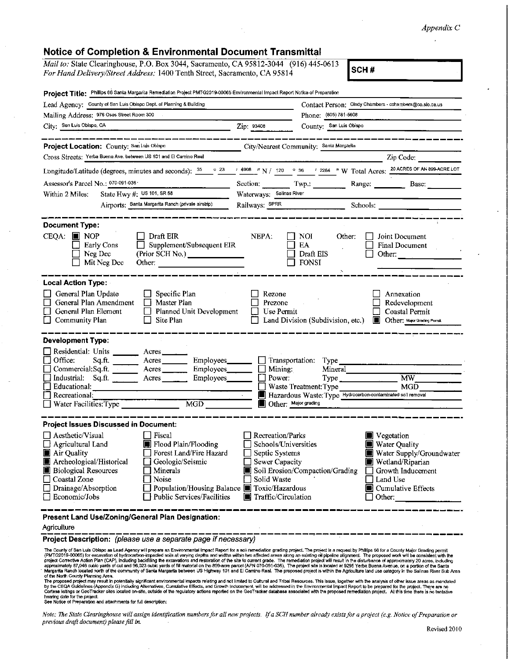## *Appendix C*

## **Notice of Completion** & **Environmental Document Transmittal**

*Mail to: State Clearinghouse, P.O. Box 3044, Sacramento, CA 95812-3044* (916) 445-0613 *For Hand Delivery/Street Address:* 1400 Tenth Street, Sacramento, CA 95814 **SCH #** 

| Project Title: Phillips 66 Santa Margarita Remedlation Project PMTG2019-00065 Environmental Impact Report Notice of Preparation                                                                            |                                                                                                                                                                                                                                                                                                              |                                                                                                                           |                                                   |                                                                                                                                                              |  |
|------------------------------------------------------------------------------------------------------------------------------------------------------------------------------------------------------------|--------------------------------------------------------------------------------------------------------------------------------------------------------------------------------------------------------------------------------------------------------------------------------------------------------------|---------------------------------------------------------------------------------------------------------------------------|---------------------------------------------------|--------------------------------------------------------------------------------------------------------------------------------------------------------------|--|
| Lead Agency: County of San Luis Obispo Dept. of Planning & Building                                                                                                                                        |                                                                                                                                                                                                                                                                                                              | Contact Person: Cindy Chambers - cchambers@co.slo.ca.us                                                                   |                                                   |                                                                                                                                                              |  |
| Mailing Address: 976 Osos Street Room 300                                                                                                                                                                  |                                                                                                                                                                                                                                                                                                              |                                                                                                                           | Phone: (805) 781-5608                             |                                                                                                                                                              |  |
| City: San Luis Obispo, CA                                                                                                                                                                                  | Zip: 93408                                                                                                                                                                                                                                                                                                   | County: San Luis Obispo                                                                                                   |                                                   |                                                                                                                                                              |  |
|                                                                                                                                                                                                            |                                                                                                                                                                                                                                                                                                              |                                                                                                                           |                                                   |                                                                                                                                                              |  |
| Project Location: County; San Luis Obispo                                                                                                                                                                  |                                                                                                                                                                                                                                                                                                              | City/Nearest Community: Santa Margarita                                                                                   |                                                   |                                                                                                                                                              |  |
| Cross Streets: Yerba Buena Ave, between US 101 and El Camino Real                                                                                                                                          |                                                                                                                                                                                                                                                                                                              |                                                                                                                           |                                                   | Zip Code:                                                                                                                                                    |  |
|                                                                                                                                                                                                            |                                                                                                                                                                                                                                                                                                              |                                                                                                                           |                                                   |                                                                                                                                                              |  |
| Assessor's Parcel No.: 070-091-036                                                                                                                                                                         |                                                                                                                                                                                                                                                                                                              |                                                                                                                           | Section: Twp.: Range: Base:                       |                                                                                                                                                              |  |
| State Hwy #: $\frac{0.3686}{0.1}$ State Hwy #: $\frac{0.36866}{0.1}$ US 101, SR 58<br>Within 2 Miles:                                                                                                      |                                                                                                                                                                                                                                                                                                              | Waterways; Salinas River                                                                                                  |                                                   |                                                                                                                                                              |  |
|                                                                                                                                                                                                            | Airports: Santa Margarita Ranch (private airstrip)                                                                                                                                                                                                                                                           |                                                                                                                           |                                                   | Railways: SPRR                                                                                                                                               |  |
|                                                                                                                                                                                                            |                                                                                                                                                                                                                                                                                                              |                                                                                                                           |                                                   |                                                                                                                                                              |  |
| <b>Document Type:</b><br>$CEQA:$ MOP<br>Early Cons<br>Neg Dec<br>Mit Neg Dec                                                                                                                               | Draft EIR<br>Supplement/Subsequent EIR<br>(Prior SCH No.) ________________<br>Other: Detection of the contract of the contract of the contract of the contract of the contract of the contract of the contract of the contract of the contract of the contract of the contract of the contract of the contra | NEPA:                                                                                                                     | NOI.<br>Other:<br>EA<br>Draft EIS<br><b>FONSI</b> | Joint Document<br><b>Final Document</b><br>Other:                                                                                                            |  |
| <b>Local Action Type:</b>                                                                                                                                                                                  |                                                                                                                                                                                                                                                                                                              |                                                                                                                           |                                                   |                                                                                                                                                              |  |
| General Plan Update<br>$\Box$<br>General Plan Amendment<br>General Plan Element<br>Community Plan                                                                                                          | $\Box$ Specific Plan<br>П<br>Master Plan<br>Planned Unit Development<br>$\Box$<br>Site Plan                                                                                                                                                                                                                  | Rezone<br>Prezone<br>Use Permit                                                                                           | Land Division (Subdivision, etc.)                 | Annexation<br>Redevelopment<br>Coastal Permit<br><b>Other:</b> Major Grading Permit                                                                          |  |
| <b>Development Type:</b>                                                                                                                                                                                   |                                                                                                                                                                                                                                                                                                              |                                                                                                                           |                                                   |                                                                                                                                                              |  |
| Residential: Units ______<br>Office:<br>Sq.ft.<br>Commercial:Sq.ft. Acres<br>Industrial: Sq.ft. _______ Acres _______ Employees _______<br>$\Box$ Educational:<br>Recreational:                            | Acres<br>$A$ cres $\_\_\_\_\_\_\_\$<br>Employees_______                                                                                                                                                                                                                                                      | $\Box$ Mining:<br>Ш<br>Power:                                                                                             | Mineral<br>Waste Treatment: Type                  | $\overline{\text{MW}}$<br>Type<br>MGD<br>Hazardous Waste: Type Hydrocarbon-contaminated soil removal                                                         |  |
| Water Facilities: Type                                                                                                                                                                                     | MGD                                                                                                                                                                                                                                                                                                          | Other: Major grading                                                                                                      |                                                   |                                                                                                                                                              |  |
|                                                                                                                                                                                                            |                                                                                                                                                                                                                                                                                                              |                                                                                                                           |                                                   |                                                                                                                                                              |  |
| <b>Project Issues Discussed in Document:</b>                                                                                                                                                               |                                                                                                                                                                                                                                                                                                              |                                                                                                                           |                                                   |                                                                                                                                                              |  |
| $\Box$ Aesthetic/Visual<br>$\Box$ Agricultural Land<br>Air Quality<br>Archeological/Historical<br><b>Biological Resources</b><br><b>Coastal Zone</b><br>Drainage/Absorption<br>$\Box$ Economic/Jobs        | Fiscal<br>Flood Plain/Flooding<br>Forest Land/Fire Hazard<br>Geologic/Seismic<br>Minerals<br>Noise<br>Population/Housing Balance <b>TE</b> Toxic/Hazardous<br>Public Services/Facilities                                                                                                                     | Recreation/Parks<br>Schools/Universities<br>Septic Systems<br>$\Box$ Sewer Capacity<br>Solid Waste<br>Traffic/Circulation | Soil Erosion/Compaction/Grading                   | Vegetation<br><b>Nater Quality</b><br>Water Supply/Groundwater<br>Wetland/Riparian<br>Growth Inducement<br>I Land Use<br>Cumulative Effects<br>$\Box$ Other: |  |
| Present Land Use/Zoning/General Plan Designation:                                                                                                                                                          |                                                                                                                                                                                                                                                                                                              |                                                                                                                           |                                                   |                                                                                                                                                              |  |
| Agriculture                                                                                                                                                                                                |                                                                                                                                                                                                                                                                                                              |                                                                                                                           |                                                   |                                                                                                                                                              |  |
| Project Description: (please use a separate page if necessary)                                                                                                                                             |                                                                                                                                                                                                                                                                                                              |                                                                                                                           |                                                   |                                                                                                                                                              |  |
| The County of San Luis Obispo as Lead Agency will prepare an Environmental Impact Report for a soil remediation grading project. The project is a request by Phillips 66 for a County Major Grading permit |                                                                                                                                                                                                                                                                                                              |                                                                                                                           |                                                   |                                                                                                                                                              |  |

The Courty of San Luis Obispo as Lead Agency will prepare an Environmental (mpact Report for a soir memoletion grading project, The project paids project as the project paility of the Security of San Luis Objects of or a C

of the North County Planning Area.<br>The proposed project may result in potentially significant environmental impacts relating and not limited to Cultural and Tribai Resources. This issue, together with the analysis of other

*Note:* The *State Clearinghouse will assign. identification numbers for all new projects. If a SCH number already exists for a project (e.g Notice of Preparation or previous draft document) please fill in.*